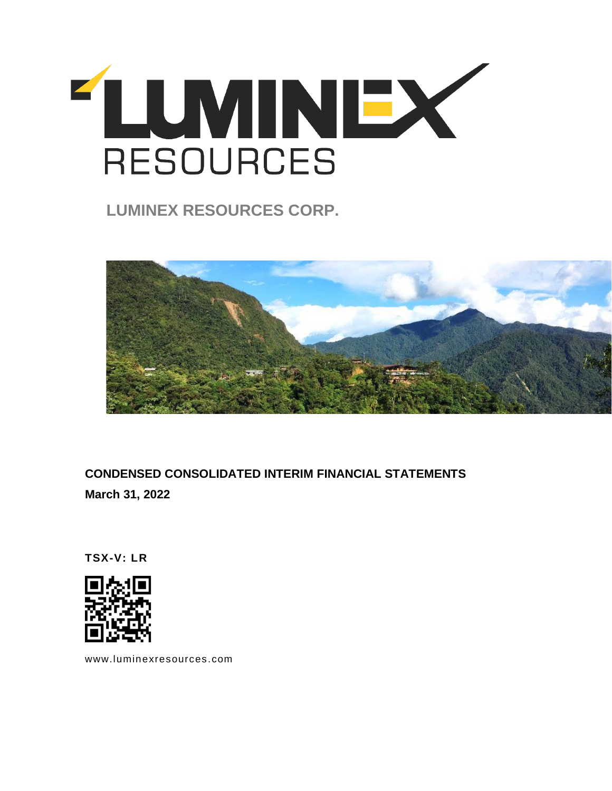

**LUMINEX RESOURCES CORP.** 



**CONDENSED CONSOLIDATED INTERIM FINANCIAL STATEMENTS March 31, 2022**

**TSX-V: LR**



[www.luminexresources.com](http://www.luminagold.com/)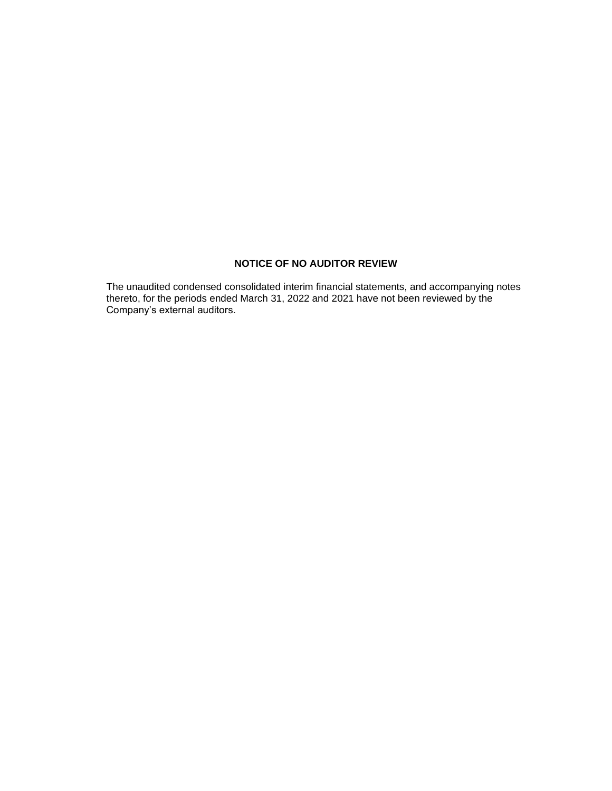# **NOTICE OF NO AUDITOR REVIEW**

The unaudited condensed consolidated interim financial statements, and accompanying notes thereto, for the periods ended March 31, 2022 and 2021 have not been reviewed by the Company's external auditors.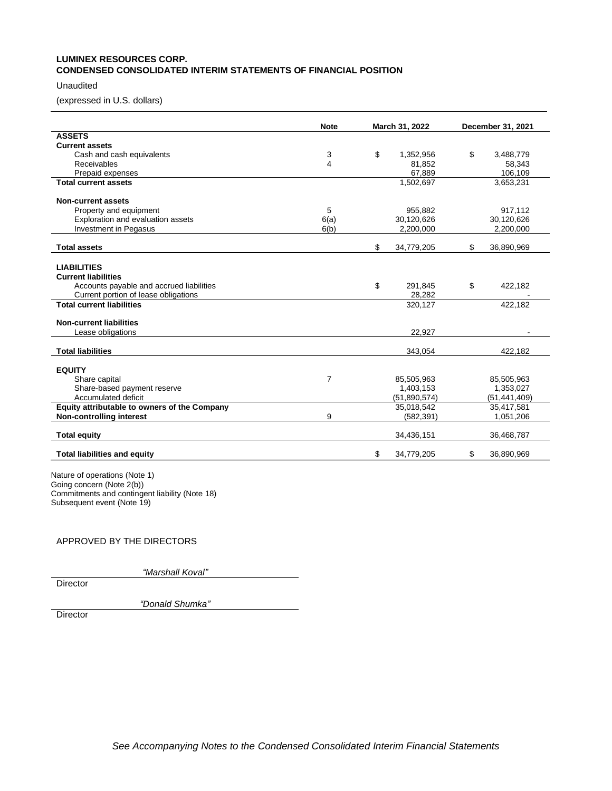# **LUMINEX RESOURCES CORP. CONDENSED CONSOLIDATED INTERIM STATEMENTS OF FINANCIAL POSITION**

# Unaudited

(expressed in U.S. dollars)

|                                              | <b>Note</b>    | March 31, 2022   |    | December 31, 2021 |
|----------------------------------------------|----------------|------------------|----|-------------------|
| <b>ASSETS</b>                                |                |                  |    |                   |
| <b>Current assets</b>                        |                |                  |    |                   |
| Cash and cash equivalents                    | 3              | \$<br>1,352,956  | \$ | 3,488,779         |
| Receivables                                  | 4              | 81,852           |    | 58,343            |
| Prepaid expenses                             |                | 67,889           |    | 106,109           |
| <b>Total current assets</b>                  |                | 1,502,697        |    | 3,653,231         |
| <b>Non-current assets</b>                    |                |                  |    |                   |
| Property and equipment                       | 5              | 955,882          |    | 917,112           |
| Exploration and evaluation assets            | 6(a)           | 30,120,626       |    | 30,120,626        |
| Investment in Pegasus                        | 6(b)           | 2,200,000        |    | 2,200,000         |
| <b>Total assets</b>                          |                | \$<br>34,779,205 | \$ | 36,890,969        |
|                                              |                |                  |    |                   |
| <b>LIABILITIES</b>                           |                |                  |    |                   |
| <b>Current liabilities</b>                   |                |                  |    |                   |
| Accounts payable and accrued liabilities     |                | \$<br>291.845    | \$ | 422,182           |
| Current portion of lease obligations         |                | 28,282           |    |                   |
| <b>Total current liabilities</b>             |                | 320,127          |    | 422,182           |
| <b>Non-current liabilities</b>               |                |                  |    |                   |
| Lease obligations                            |                | 22.927           |    |                   |
|                                              |                |                  |    |                   |
| <b>Total liabilities</b>                     |                | 343,054          |    | 422,182           |
|                                              |                |                  |    |                   |
| <b>EQUITY</b>                                |                |                  |    |                   |
| Share capital                                | $\overline{7}$ | 85,505,963       |    | 85,505,963        |
| Share-based payment reserve                  |                | 1,403,153        |    | 1,353,027         |
| Accumulated deficit                          |                | (51,890,574)     |    | (51, 441, 409)    |
| Equity attributable to owners of the Company |                | 35,018,542       |    | 35,417,581        |
| Non-controlling interest                     | 9              | (582, 391)       |    | 1,051,206         |
| <b>Total equity</b>                          |                | 34,436,151       |    | 36,468,787        |
| <b>Total liabilities and equity</b>          |                | \$<br>34,779,205 | \$ | 36,890,969        |

Nature of operations (Note 1) Going concern (Note 2(b)) Commitments and contingent liability (Note 18) Subsequent event (Note 19)

# APPROVED BY THE DIRECTORS

*"Marshall Koval"*

**Director** 

*"Donald Shumka"*

**Director**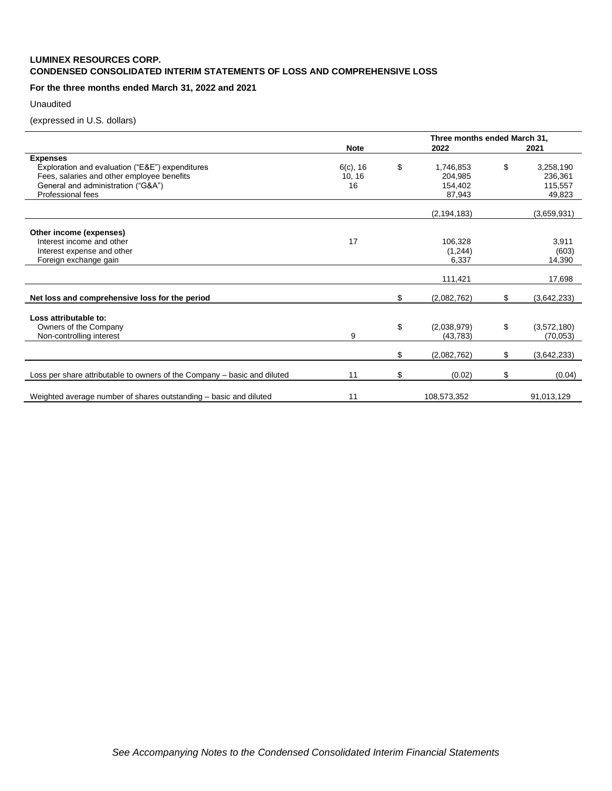# **LUMINEX RESOURCES CORP. CONDENSED CONSOLIDATED INTERIM STATEMENTS OF LOSS AND COMPREHENSIVE LOSS**

# **For the three months ended March 31, 2022 and 2021**

Unaudited

(expressed in U.S. dollars)

| <b>Note</b> |                     | 2022        |                                                                                                             | 2021                                     |  |  |  |
|-------------|---------------------|-------------|-------------------------------------------------------------------------------------------------------------|------------------------------------------|--|--|--|
|             |                     |             |                                                                                                             |                                          |  |  |  |
| $6(c)$ , 16 | \$                  | 1,746,853   | \$                                                                                                          | 3,258,190                                |  |  |  |
| 10, 16      |                     | 204.985     |                                                                                                             | 236,361                                  |  |  |  |
|             |                     |             |                                                                                                             | 115,557                                  |  |  |  |
|             |                     |             |                                                                                                             | 49,823                                   |  |  |  |
|             |                     |             |                                                                                                             | (3,659,931)                              |  |  |  |
|             |                     |             |                                                                                                             |                                          |  |  |  |
|             |                     |             |                                                                                                             |                                          |  |  |  |
| 17          |                     | 106,328     |                                                                                                             | 3,911                                    |  |  |  |
|             |                     | (1,244)     |                                                                                                             | (603)                                    |  |  |  |
|             |                     |             |                                                                                                             | 14,390                                   |  |  |  |
|             |                     |             |                                                                                                             | 17,698                                   |  |  |  |
|             |                     |             |                                                                                                             |                                          |  |  |  |
|             | \$                  | (2,082,762) | \$                                                                                                          | (3,642,233)                              |  |  |  |
|             |                     |             |                                                                                                             |                                          |  |  |  |
|             |                     |             |                                                                                                             |                                          |  |  |  |
|             |                     |             |                                                                                                             | (3,572,180)                              |  |  |  |
|             |                     |             |                                                                                                             | (70,053)                                 |  |  |  |
|             | \$                  | (2,082,762) | \$                                                                                                          | (3,642,233)                              |  |  |  |
|             |                     |             |                                                                                                             |                                          |  |  |  |
|             |                     |             |                                                                                                             | (0.04)                                   |  |  |  |
|             |                     |             |                                                                                                             | 91,013,129                               |  |  |  |
|             | 16<br>9<br>11<br>11 | \$<br>\$    | 154.402<br>87,943<br>(2, 194, 183)<br>6,337<br>111,421<br>(2,038,979)<br>(43, 783)<br>(0.02)<br>108,573,352 | Three months ended March 31,<br>\$<br>\$ |  |  |  |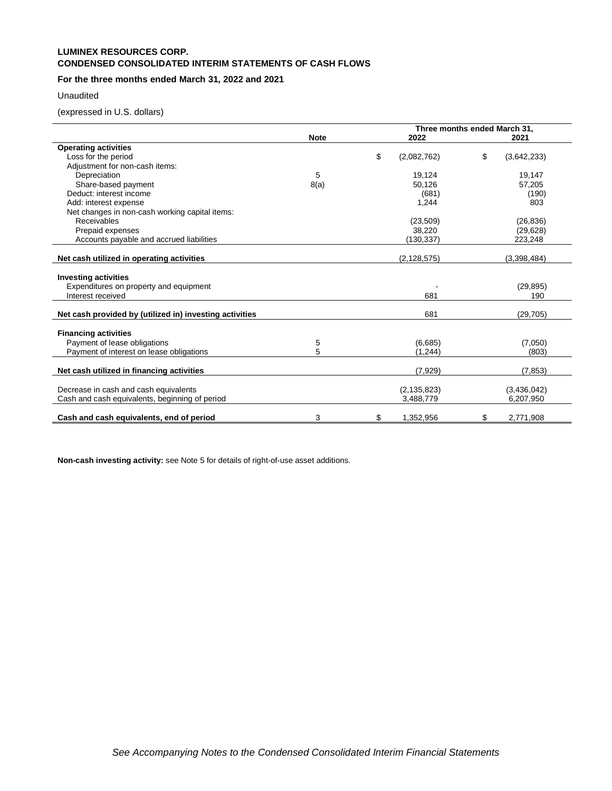# **LUMINEX RESOURCES CORP. CONDENSED CONSOLIDATED INTERIM STATEMENTS OF CASH FLOWS**

# **For the three months ended March 31, 2022 and 2021**

## Unaudited

(expressed in U.S. dollars)

|                                                         |             | Three months ended March 31, |                   |
|---------------------------------------------------------|-------------|------------------------------|-------------------|
|                                                         | <b>Note</b> | 2022                         | 2021              |
| <b>Operating activities</b>                             |             |                              |                   |
| Loss for the period                                     |             | \$<br>(2,082,762)            | \$<br>(3,642,233) |
| Adjustment for non-cash items:                          |             |                              |                   |
| Depreciation                                            | 5           | 19,124                       | 19,147            |
| Share-based payment                                     | 8(a)        | 50,126                       | 57,205            |
| Deduct: interest income                                 |             | (681)                        | (190)             |
| Add: interest expense                                   |             | 1,244                        | 803               |
| Net changes in non-cash working capital items:          |             |                              |                   |
| Receivables                                             |             | (23, 509)                    | (26, 836)         |
| Prepaid expenses                                        |             | 38,220                       | (29, 628)         |
| Accounts payable and accrued liabilities                |             | (130,337)                    | 223,248           |
|                                                         |             |                              |                   |
| Net cash utilized in operating activities               |             | (2, 128, 575)                | (3,398,484)       |
|                                                         |             |                              |                   |
| <b>Investing activities</b>                             |             |                              |                   |
| Expenditures on property and equipment                  |             |                              | (29, 895)         |
| Interest received                                       |             | 681                          | 190               |
|                                                         |             |                              |                   |
| Net cash provided by (utilized in) investing activities |             | 681                          | (29, 705)         |
|                                                         |             |                              |                   |
| <b>Financing activities</b>                             |             |                              |                   |
| Payment of lease obligations                            | 5           | (6,685)                      | (7,050)           |
| Payment of interest on lease obligations                | 5           | (1, 244)                     | (803)             |
|                                                         |             |                              |                   |
| Net cash utilized in financing activities               |             | (7,929)                      | (7, 853)          |
|                                                         |             |                              |                   |
| Decrease in cash and cash equivalents                   |             | (2, 135, 823)                | (3,436,042)       |
| Cash and cash equivalents, beginning of period          |             | 3,488,779                    | 6,207,950         |
| Cash and cash equivalents, end of period                | 3           | \$<br>1,352,956              | \$<br>2,771,908   |

**Non-cash investing activity:** see Note 5 for details of right-of-use asset additions.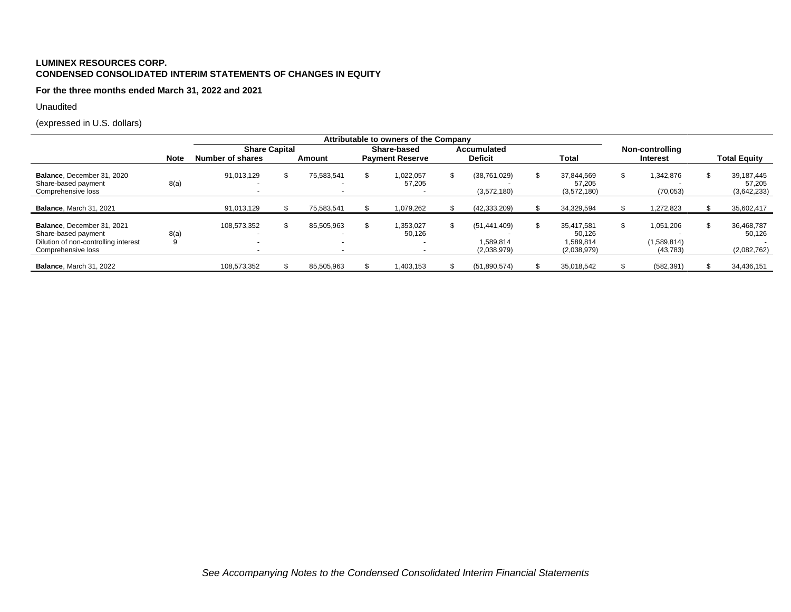# **LUMINEX RESOURCES CORP. CONDENSED CONSOLIDATED INTERIM STATEMENTS OF CHANGES IN EQUITY**

**For the three months ended March 31, 2022 and 2021**

Unaudited

(expressed in U.S. dollars)

|                                                                                                                 |             |                                         |     |                                        | Attributable to owners of the Company                 |             |                                          |  |                                                  |                                       |                                     |
|-----------------------------------------------------------------------------------------------------------------|-------------|-----------------------------------------|-----|----------------------------------------|-------------------------------------------------------|-------------|------------------------------------------|--|--------------------------------------------------|---------------------------------------|-------------------------------------|
|                                                                                                                 |             | <b>Share Capital</b>                    |     |                                        | Share-based                                           | Accumulated |                                          |  | Non-controlling                                  |                                       |                                     |
|                                                                                                                 | <b>Note</b> | Number of shares                        |     | Amount                                 | <b>Payment Reserve</b>                                |             | <b>Deficit</b>                           |  | <b>Total</b>                                     | <b>Interest</b>                       | <b>Total Equity</b>                 |
| Balance, December 31, 2020<br>Share-based payment<br>Comprehensive loss                                         | 8(a)        | 91.013.129                              | \$. | 75.583.541                             | \$<br>1.022.057<br>57,205                             | \$          | (38, 761, 029)<br>(3,572,180)            |  | 37,844,569<br>57,205<br>(3,572,180)              | ,342,876<br>(70,053)                  | 39.187.445<br>57.205<br>(3,642,233) |
| <b>Balance, March 31, 2021</b>                                                                                  |             | 91,013,129                              |     | 75.583.541                             | 1,079,262                                             |             | (42, 333, 209)                           |  | 34.329.594                                       | .272.823                              | 35,602,417                          |
| Balance. December 31, 2021<br>Share-based payment<br>Dilution of non-controlling interest<br>Comprehensive loss | 8(a)<br>9   | 108.573.352<br>$\overline{\phantom{a}}$ |     | 85.505.963<br>$\overline{\phantom{a}}$ | \$<br>1.353.027<br>50.126<br>$\overline{\phantom{a}}$ | \$          | (51.441.409)<br>1.589.814<br>(2,038,979) |  | 35.417.581<br>50.126<br>1.589.814<br>(2,038,979) | 1.051.206<br>(1,589,814)<br>(43, 783) | 36.468.787<br>50.126<br>(2,082,762) |
| <b>Balance, March 31, 2022</b>                                                                                  |             | 108,573,352                             |     | 85,505,963                             | 1,403,153                                             |             | (51,890,574)                             |  | 35,018,542                                       | (582, 391)                            | 34,436,151                          |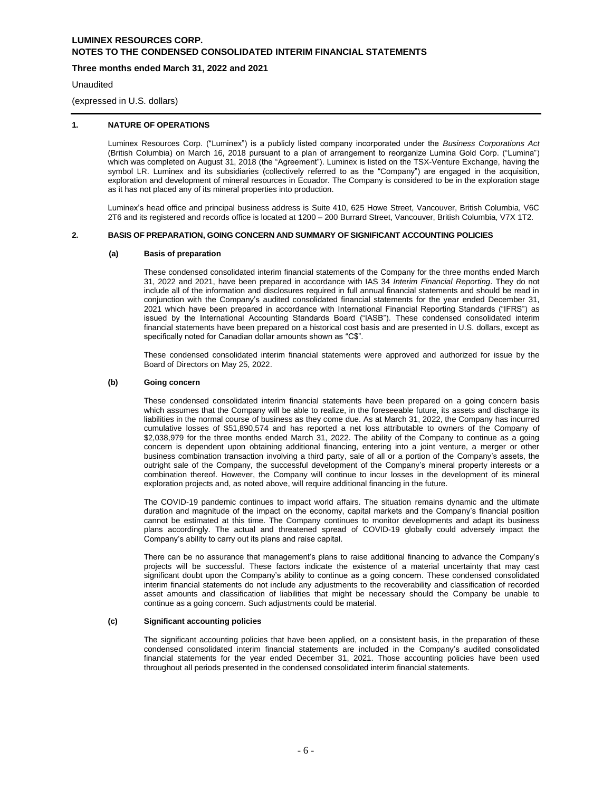# **Three months ended March 31, 2022 and 2021**

**Unaudited** 

(expressed in U.S. dollars)

## **1. NATURE OF OPERATIONS**

Luminex Resources Corp. ("Luminex") is a publicly listed company incorporated under the *Business Corporations Act* (British Columbia) on March 16, 2018 pursuant to a plan of arrangement to reorganize Lumina Gold Corp. ("Lumina") which was completed on August 31, 2018 (the "Agreement"). Luminex is listed on the TSX-Venture Exchange, having the symbol LR. Luminex and its subsidiaries (collectively referred to as the "Company") are engaged in the acquisition, exploration and development of mineral resources in Ecuador. The Company is considered to be in the exploration stage as it has not placed any of its mineral properties into production.

Luminex's head office and principal business address is Suite 410, 625 Howe Street, Vancouver, British Columbia, V6C 2T6 and its registered and records office is located at 1200 – 200 Burrard Street, Vancouver, British Columbia, V7X 1T2.

### **2. BASIS OF PREPARATION, GOING CONCERN AND SUMMARY OF SIGNIFICANT ACCOUNTING POLICIES**

### **(a) Basis of preparation**

These condensed consolidated interim financial statements of the Company for the three months ended March 31, 2022 and 2021, have been prepared in accordance with IAS 34 *Interim Financial Reporting*. They do not include all of the information and disclosures required in full annual financial statements and should be read in conjunction with the Company's audited consolidated financial statements for the year ended December 31, 2021 which have been prepared in accordance with International Financial Reporting Standards ("IFRS") as issued by the International Accounting Standards Board ("IASB"). These condensed consolidated interim financial statements have been prepared on a historical cost basis and are presented in U.S. dollars, except as specifically noted for Canadian dollar amounts shown as "C\$".

These condensed consolidated interim financial statements were approved and authorized for issue by the Board of Directors on May 25, 2022.

### **(b) Going concern**

These condensed consolidated interim financial statements have been prepared on a going concern basis which assumes that the Company will be able to realize, in the foreseeable future, its assets and discharge its liabilities in the normal course of business as they come due. As at March 31, 2022, the Company has incurred cumulative losses of \$51,890,574 and has reported a net loss attributable to owners of the Company of \$2,038,979 for the three months ended March 31, 2022. The ability of the Company to continue as a going concern is dependent upon obtaining additional financing, entering into a joint venture, a merger or other business combination transaction involving a third party, sale of all or a portion of the Company's assets, the outright sale of the Company, the successful development of the Company's mineral property interests or a combination thereof. However, the Company will continue to incur losses in the development of its mineral exploration projects and, as noted above, will require additional financing in the future.

The COVID-19 pandemic continues to impact world affairs. The situation remains dynamic and the ultimate duration and magnitude of the impact on the economy, capital markets and the Company's financial position cannot be estimated at this time. The Company continues to monitor developments and adapt its business plans accordingly. The actual and threatened spread of COVID-19 globally could adversely impact the Company's ability to carry out its plans and raise capital.

There can be no assurance that management's plans to raise additional financing to advance the Company's projects will be successful. These factors indicate the existence of a material uncertainty that may cast significant doubt upon the Company's ability to continue as a going concern. These condensed consolidated interim financial statements do not include any adjustments to the recoverability and classification of recorded asset amounts and classification of liabilities that might be necessary should the Company be unable to continue as a going concern. Such adjustments could be material.

#### **(c) Significant accounting policies**

The significant accounting policies that have been applied, on a consistent basis, in the preparation of these condensed consolidated interim financial statements are included in the Company's audited consolidated financial statements for the year ended December 31, 2021. Those accounting policies have been used throughout all periods presented in the condensed consolidated interim financial statements.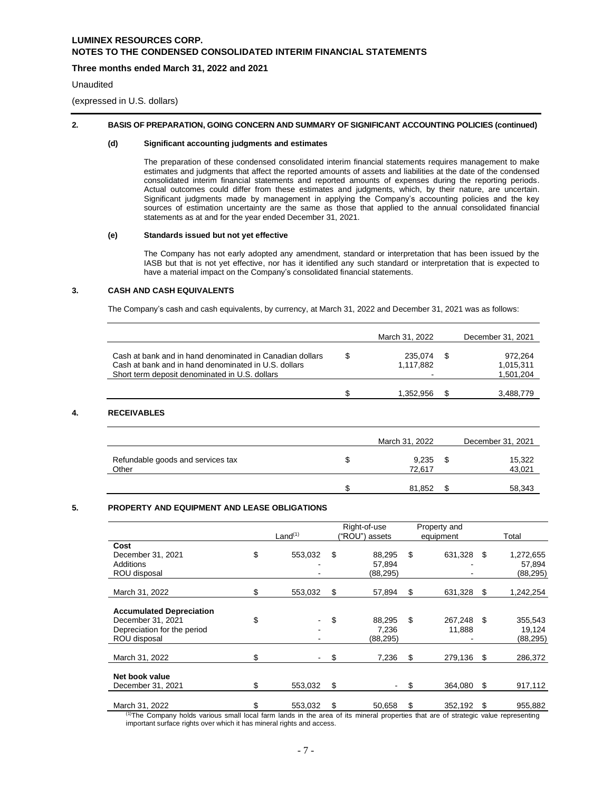# **Three months ended March 31, 2022 and 2021**

Unaudited

(expressed in U.S. dollars)

## **2. BASIS OF PREPARATION, GOING CONCERN AND SUMMARY OF SIGNIFICANT ACCOUNTING POLICIES (continued)**

## **(d) Significant accounting judgments and estimates**

The preparation of these condensed consolidated interim financial statements requires management to make estimates and judgments that affect the reported amounts of assets and liabilities at the date of the condensed consolidated interim financial statements and reported amounts of expenses during the reporting periods. Actual outcomes could differ from these estimates and judgments, which, by their nature, are uncertain. Significant judgments made by management in applying the Company's accounting policies and the key sources of estimation uncertainty are the same as those that applied to the annual consolidated financial statements as at and for the year ended December 31, 2021.

## **(e) Standards issued but not yet effective**

The Company has not early adopted any amendment, standard or interpretation that has been issued by the IASB but that is not yet effective, nor has it identified any such standard or interpretation that is expected to have a material impact on the Company's consolidated financial statements.

### **3. CASH AND CASH EQUIVALENTS**

The Company's cash and cash equivalents, by currency, at March 31, 2022 and December 31, 2021 was as follows:

|                                                          | March 31, 2022 |      | December 31, 2021 |
|----------------------------------------------------------|----------------|------|-------------------|
| Cash at bank and in hand denominated in Canadian dollars | \$<br>235,074  | - \$ | 972,264           |
| Cash at bank and in hand denominated in U.S. dollars     | 1,117,882      |      | 1,015,311         |
| Short term deposit denominated in U.S. dollars           |                |      | 1,501,204         |
|                                                          | 1,352,956      | S    | 3,488,779         |
|                                                          |                |      |                   |
| <b>RECEIVABLES</b>                                       | March 31, 2022 |      | December 31, 2021 |
| Refundable goods and services tax                        | \$<br>9,235    | - \$ |                   |
| Other                                                    | 72,617         |      | 15,322<br>43,021  |

## **5. PROPERTY AND EQUIPMENT AND LEASE OBLIGATIONS**

|                                                                                                     |    | Land <sup>(1)</sup> | Right-of-use<br>("ROU") assets     |    | Property and<br>equipment |      | Total                            |
|-----------------------------------------------------------------------------------------------------|----|---------------------|------------------------------------|----|---------------------------|------|----------------------------------|
| Cost<br>December 31, 2021<br>Additions<br>ROU disposal                                              | \$ | 553,032             | \$<br>88,295<br>57,894<br>(88,295) | \$ | 631,328                   | - \$ | 1,272,655<br>57,894<br>(88, 295) |
| March 31, 2022                                                                                      | \$ | 553,032             | \$<br>57.894                       | S  | 631,328                   | \$   | 1,242,254                        |
| <b>Accumulated Depreciation</b><br>December 31, 2021<br>Depreciation for the period<br>ROU disposal | \$ |                     | \$<br>88,295<br>7,236<br>(88,295)  | \$ | 267.248<br>11,888         | \$   | 355,543<br>19,124<br>(88, 295)   |
| March 31, 2022                                                                                      | \$ |                     | \$<br>7,236                        | S. | 279,136                   | \$   | 286,372                          |
| Net book value<br>December 31, 2021                                                                 | S  | 553,032             | \$                                 | S  | 364.080                   | \$   | 917,112                          |
| March 31, 2022                                                                                      |    | 553,032             | \$<br>50.658                       | \$ | 352,192                   | \$   | 955,882                          |

<sup>(1)</sup>The Company holds various small local farm lands in the area of its mineral properties that are of strategic value representing important surface rights over which it has mineral rights and access.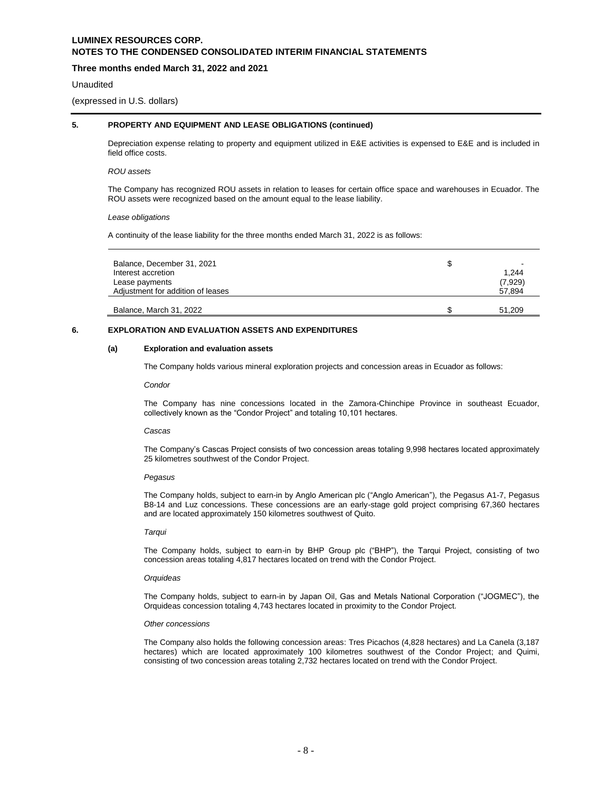# **Three months ended March 31, 2022 and 2021**

#### Unaudited

(expressed in U.S. dollars)

# **5. PROPERTY AND EQUIPMENT AND LEASE OBLIGATIONS (continued)**

Depreciation expense relating to property and equipment utilized in E&E activities is expensed to E&E and is included in field office costs.

### *ROU assets*

The Company has recognized ROU assets in relation to leases for certain office space and warehouses in Ecuador. The ROU assets were recognized based on the amount equal to the lease liability.

### *Lease obligations*

A continuity of the lease liability for the three months ended March 31, 2022 is as follows:

| Balance, December 31, 2021<br>Interest accretion<br>Lease payments<br>Adjustment for addition of leases | 1.244<br>(7,929)<br>57.894 |
|---------------------------------------------------------------------------------------------------------|----------------------------|
| Balance, March 31, 2022                                                                                 | 51.209                     |

# **6. EXPLORATION AND EVALUATION ASSETS AND EXPENDITURES**

### **(a) Exploration and evaluation assets**

The Company holds various mineral exploration projects and concession areas in Ecuador as follows:

*Condor*

The Company has nine concessions located in the Zamora-Chinchipe Province in southeast Ecuador, collectively known as the "Condor Project" and totaling 10,101 hectares.

#### *Cascas*

The Company's Cascas Project consists of two concession areas totaling 9,998 hectares located approximately 25 kilometres southwest of the Condor Project.

#### *Pegasus*

The Company holds, subject to earn-in by Anglo American plc ("Anglo American"), the Pegasus A1-7, Pegasus B8-14 and Luz concessions. These concessions are an early-stage gold project comprising 67,360 hectares and are located approximately 150 kilometres southwest of Quito.

## *Tarqui*

The Company holds, subject to earn-in by BHP Group plc ("BHP"), the Tarqui Project, consisting of two concession areas totaling 4,817 hectares located on trend with the Condor Project.

#### *Orquideas*

The Company holds, subject to earn-in by Japan Oil, Gas and Metals National Corporation ("JOGMEC"), the Orquideas concession totaling 4,743 hectares located in proximity to the Condor Project.

## *Other concessions*

The Company also holds the following concession areas: Tres Picachos (4,828 hectares) and La Canela (3,187 hectares) which are located approximately 100 kilometres southwest of the Condor Project; and Quimi, consisting of two concession areas totaling 2,732 hectares located on trend with the Condor Project.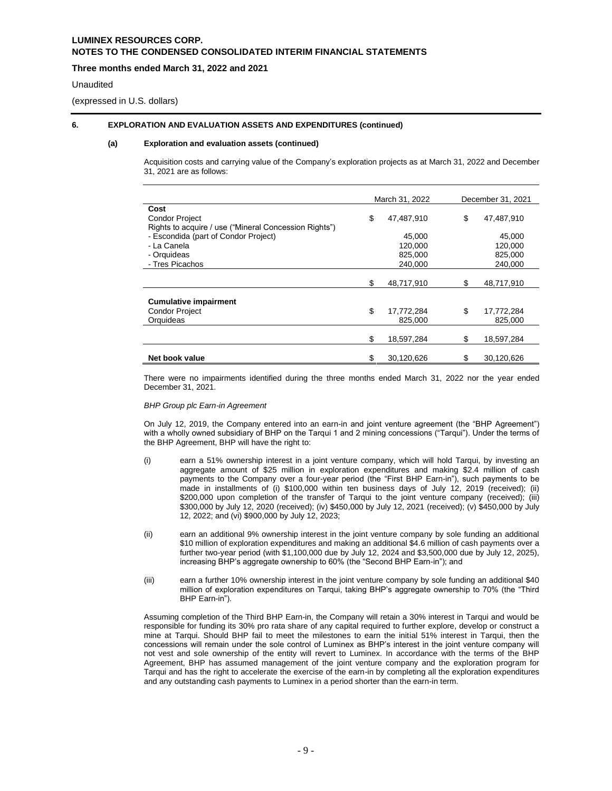## **Three months ended March 31, 2022 and 2021**

### Unaudited

(expressed in U.S. dollars)

## **6. EXPLORATION AND EVALUATION ASSETS AND EXPENDITURES (continued)**

### **(a) Exploration and evaluation assets (continued)**

Acquisition costs and carrying value of the Company's exploration projects as at March 31, 2022 and December 31, 2021 are as follows:

|                                                       | March 31, 2022   | December 31, 2021 |            |
|-------------------------------------------------------|------------------|-------------------|------------|
| Cost                                                  |                  |                   |            |
| <b>Condor Project</b>                                 | \$<br>47,487,910 | \$                | 47,487,910 |
| Rights to acquire / use ("Mineral Concession Rights") |                  |                   |            |
| - Escondida (part of Condor Project)                  | 45.000           |                   | 45,000     |
| - La Canela                                           | 120.000          |                   | 120,000    |
| - Orquideas                                           | 825,000          |                   | 825,000    |
| - Tres Picachos                                       | 240,000          |                   | 240,000    |
|                                                       |                  |                   |            |
|                                                       | \$<br>48,717,910 | S                 | 48,717,910 |
|                                                       |                  |                   |            |
| <b>Cumulative impairment</b>                          |                  |                   |            |
| <b>Condor Project</b>                                 | \$<br>17,772,284 | \$                | 17,772,284 |
| Orguideas                                             | 825.000          |                   | 825.000    |
|                                                       |                  |                   |            |
|                                                       | \$<br>18,597,284 | \$                | 18,597,284 |
|                                                       |                  |                   |            |
| Net book value                                        | \$<br>30,120,626 |                   | 30,120,626 |

There were no impairments identified during the three months ended March 31, 2022 nor the year ended December 31, 2021.

### *BHP Group plc Earn-in Agreement*

On July 12, 2019, the Company entered into an earn-in and joint venture agreement (the "BHP Agreement") with a wholly owned subsidiary of BHP on the Tarqui 1 and 2 mining concessions ("Tarqui"). Under the terms of the BHP Agreement, BHP will have the right to:

- (i) earn a 51% ownership interest in a joint venture company, which will hold Tarqui, by investing an aggregate amount of \$25 million in exploration expenditures and making \$2.4 million of cash payments to the Company over a four-year period (the "First BHP Earn-in"), such payments to be made in installments of (i) \$100,000 within ten business days of July 12, 2019 (received); (ii) \$200,000 upon completion of the transfer of Tarqui to the joint venture company (received); (iii) \$300,000 by July 12, 2020 (received); (iv) \$450,000 by July 12, 2021 (received); (v) \$450,000 by July 12, 2022; and (vi) \$900,000 by July 12, 2023;
- (ii) earn an additional 9% ownership interest in the joint venture company by sole funding an additional \$10 million of exploration expenditures and making an additional \$4.6 million of cash payments over a further two-year period (with \$1,100,000 due by July 12, 2024 and \$3,500,000 due by July 12, 2025), increasing BHP's aggregate ownership to 60% (the "Second BHP Earn-in"); and
- (iii) earn a further 10% ownership interest in the joint venture company by sole funding an additional \$40 million of exploration expenditures on Tarqui, taking BHP's aggregate ownership to 70% (the "Third BHP Earn-in").

Assuming completion of the Third BHP Earn-in, the Company will retain a 30% interest in Tarqui and would be responsible for funding its 30% pro rata share of any capital required to further explore, develop or construct a mine at Tarqui. Should BHP fail to meet the milestones to earn the initial 51% interest in Tarqui, then the concessions will remain under the sole control of Luminex as BHP's interest in the joint venture company will not vest and sole ownership of the entity will revert to Luminex. In accordance with the terms of the BHP Agreement, BHP has assumed management of the joint venture company and the exploration program for Tarqui and has the right to accelerate the exercise of the earn-in by completing all the exploration expenditures and any outstanding cash payments to Luminex in a period shorter than the earn-in term.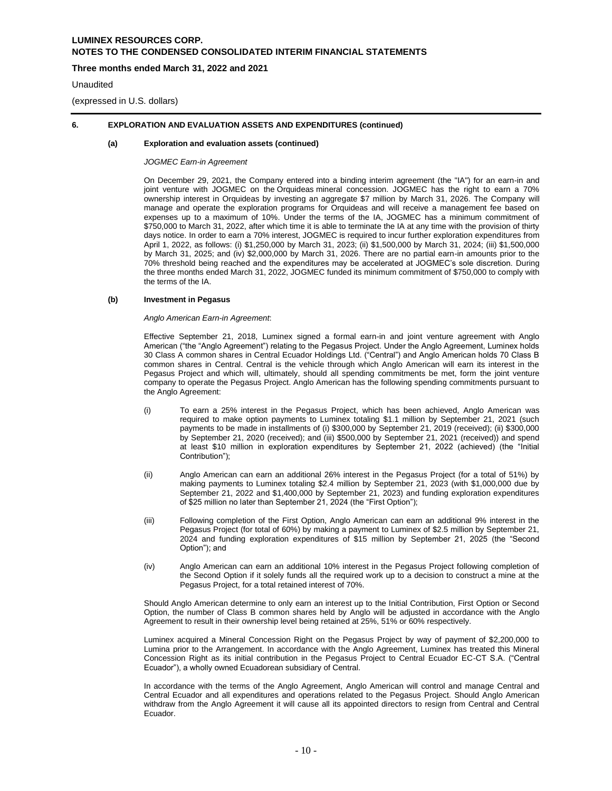## **Three months ended March 31, 2022 and 2021**

### **Unaudited**

(expressed in U.S. dollars)

## **6. EXPLORATION AND EVALUATION ASSETS AND EXPENDITURES (continued)**

#### **(a) Exploration and evaluation assets (continued)**

*JOGMEC Earn-in Agreement*

On December 29, 2021, the Company entered into a binding interim agreement (the "IA") for an earn-in and joint venture with JOGMEC on the [Orquideas](https://luminexresources.com/projects/orquideas-cascas-earn-in/) mineral concession. JOGMEC has the right to earn a 70% ownership interest in Orquideas by investing an aggregate \$7 million by March 31, 2026. The Company will manage and operate the exploration programs for Orquideas and will receive a management fee based on expenses up to a maximum of 10%. Under the terms of the IA, JOGMEC has a minimum commitment of \$750,000 to March 31, 2022, after which time it is able to terminate the IA at any time with the provision of thirty days notice. In order to earn a 70% interest, JOGMEC is required to incur further exploration expenditures from April 1, 2022, as follows: (i) \$1,250,000 by March 31, 2023; (ii) \$1,500,000 by March 31, 2024; (iii) \$1,500,000 by March 31, 2025; and (iv) \$2,000,000 by March 31, 2026. There are no partial earn-in amounts prior to the 70% threshold being reached and the expenditures may be accelerated at JOGMEC's sole discretion. During the three months ended March 31, 2022, JOGMEC funded its minimum commitment of \$750,000 to comply with the terms of the IA.

#### **(b) Investment in Pegasus**

#### *Anglo American Earn-in Agreement*:

Effective September 21, 2018, Luminex signed a formal earn-in and joint venture agreement with Anglo American ("the "Anglo Agreement") relating to the Pegasus Project. Under the Anglo Agreement, Luminex holds 30 Class A common shares in Central Ecuador Holdings Ltd. ("Central") and Anglo American holds 70 Class B common shares in Central. Central is the vehicle through which Anglo American will earn its interest in the Pegasus Project and which will, ultimately, should all spending commitments be met, form the joint venture company to operate the Pegasus Project. Anglo American has the following spending commitments pursuant to the Anglo Agreement:

- (i) To earn a 25% interest in the Pegasus Project, which has been achieved, Anglo American was required to make option payments to Luminex totaling \$1.1 million by September 21, 2021 (such payments to be made in installments of (i) \$300,000 by September 21, 2019 (received); (ii) \$300,000 by September 21, 2020 (received); and (iii) \$500,000 by September 21, 2021 (received)) and spend at least \$10 million in exploration expenditures by September 21, 2022 (achieved) (the "Initial Contribution");
- (ii) Anglo American can earn an additional 26% interest in the Pegasus Project (for a total of 51%) by making payments to Luminex totaling \$2.4 million by September 21, 2023 (with \$1,000,000 due by September 21, 2022 and \$1,400,000 by September 21, 2023) and funding exploration expenditures of \$25 million no later than September 21, 2024 (the "First Option");
- (iii) Following completion of the First Option, Anglo American can earn an additional 9% interest in the Pegasus Project (for total of 60%) by making a payment to Luminex of \$2.5 million by September 21, 2024 and funding exploration expenditures of \$15 million by September 21, 2025 (the "Second Option"); and
- (iv) Anglo American can earn an additional 10% interest in the Pegasus Project following completion of the Second Option if it solely funds all the required work up to a decision to construct a mine at the Pegasus Project, for a total retained interest of 70%.

Should Anglo American determine to only earn an interest up to the Initial Contribution, First Option or Second Option, the number of Class B common shares held by Anglo will be adjusted in accordance with the Anglo Agreement to result in their ownership level being retained at 25%, 51% or 60% respectively.

Luminex acquired a Mineral Concession Right on the Pegasus Project by way of payment of \$2,200,000 to Lumina prior to the Arrangement. In accordance with the Anglo Agreement, Luminex has treated this Mineral Concession Right as its initial contribution in the Pegasus Project to Central Ecuador EC-CT S.A. ("Central Ecuador"), a wholly owned Ecuadorean subsidiary of Central.

In accordance with the terms of the Anglo Agreement, Anglo American will control and manage Central and Central Ecuador and all expenditures and operations related to the Pegasus Project. Should Anglo American withdraw from the Anglo Agreement it will cause all its appointed directors to resign from Central and Central Ecuador.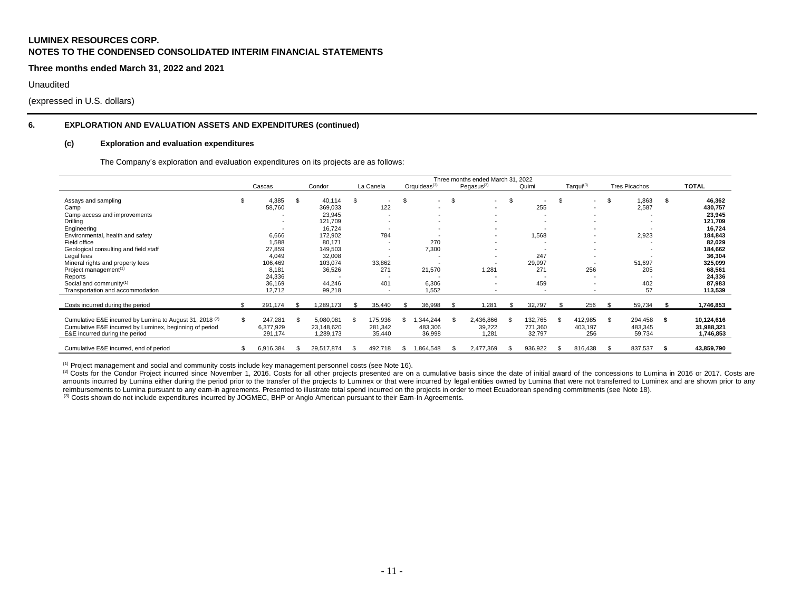**Three months ended March 31, 2022 and 2021**

Unaudited

(expressed in U.S. dollars)

# **6. EXPLORATION AND EVALUATION ASSETS AND EXPENDITURES (continued)**

#### **(c) Exploration and evaluation expenditures**

The Company's exploration and evaluation expenditures on its projects are as follows:

|                                                                     |     |           |      |            |     |                          |                                |      | Three months ended March 31, 2022 |    |         |      |                          |      |                          |      |              |
|---------------------------------------------------------------------|-----|-----------|------|------------|-----|--------------------------|--------------------------------|------|-----------------------------------|----|---------|------|--------------------------|------|--------------------------|------|--------------|
|                                                                     |     | Cascas    |      | Condor     |     | La Canela                | Orquideas $^{(3)}$             |      | Pegasus $(3)$                     |    | Quimi   |      | Tarqui <sup>(3)</sup>    |      | <b>Tres Picachos</b>     |      | <b>TOTAL</b> |
| Assays and sampling                                                 |     | 4,385     | \$.  | 40,114     | \$. | $\overline{\phantom{a}}$ | \$<br>$\overline{\phantom{a}}$ | - \$ | $\overline{\phantom{a}}$          | £. |         | \$.  | $\overline{\phantom{0}}$ | -\$  | 1,863                    | -S   | 46,362       |
| Camp                                                                |     | 58,760    |      | 369,033    |     | 122                      | $\overline{\phantom{a}}$       |      | $\overline{\phantom{a}}$          |    | 255     |      |                          |      | 2,587                    |      | 430,757      |
| Camp access and improvements                                        |     |           |      | 23,945     |     | $\overline{\phantom{a}}$ |                                |      | $\overline{\phantom{a}}$          |    |         |      |                          |      | $\overline{\phantom{a}}$ |      | 23,945       |
| Drilling                                                            |     |           |      | 121,709    |     |                          | $\overline{\phantom{a}}$       |      |                                   |    |         |      |                          |      |                          |      | 121,709      |
| Engineering                                                         |     |           |      | 16,724     |     | $\overline{\phantom{a}}$ | $\overline{\phantom{a}}$       |      |                                   |    |         |      |                          |      | $\overline{\phantom{a}}$ |      | 16,724       |
| Environmental, health and safety                                    |     | 6,666     |      | 172,902    |     | 784                      |                                |      | $\overline{\phantom{a}}$          |    | 1,568   |      |                          |      | 2,923                    |      | 184,843      |
| Field office                                                        |     | 1,588     |      | 80,171     |     | $\overline{\phantom{a}}$ | 270                            |      |                                   |    |         |      |                          |      |                          |      | 82,029       |
| Geological consulting and field staff                               |     | 27,859    |      | 149,503    |     | $\overline{\phantom{a}}$ | 7,300                          |      |                                   |    |         |      |                          |      | ٠                        |      | 184,662      |
| Legal fees                                                          |     | 4,049     |      | 32,008     |     |                          |                                |      | $\overline{\phantom{a}}$          |    | 247     |      |                          |      |                          |      | 36,304       |
| Mineral rights and property fees                                    |     | 106,469   |      | 103,074    |     | 33,862                   |                                |      |                                   |    | 29,997  |      |                          |      | 51,697                   |      | 325,099      |
| Project management <sup>(1)</sup>                                   |     | 8,181     |      | 36,526     |     | 271                      | 21,570                         |      | 1,281                             |    | 271     |      | 256                      |      | 205                      |      | 68,561       |
| Reports                                                             |     | 24,336    |      |            |     |                          |                                |      |                                   |    |         |      |                          |      |                          |      | 24,336       |
| Social and community <sup>(1)</sup>                                 |     | 36,169    |      | 44,246     |     | 401                      | 6,306                          |      | $\overline{\phantom{a}}$          |    | 459     |      |                          |      | 402                      |      | 87,983       |
| Transportation and accommodation                                    |     | 12.712    |      | 99,218     |     |                          | 1,552                          |      |                                   |    |         |      |                          |      | 57                       |      | 113,539      |
| Costs incurred during the period                                    |     | 291,174   |      | ,289,173   |     | 35,440                   | 36,998                         |      | 1,281                             |    | 32,797  |      | 256                      | - \$ | 59,734                   |      | 1,746,853    |
| Cumulative E&E incurred by Lumina to August 31, 2018 <sup>(2)</sup> | \$. | 247,281   | - \$ | 5,080,081  |     | 175,936                  | ,344,244                       |      | 2,436,866                         |    | 132,765 | - \$ | 412,985                  | \$   | 294,458                  | - \$ | 10,124,616   |
| Cumulative E&E incurred by Luminex, beginning of period             |     | 6,377,929 |      | 23,148,620 |     | 281,342                  | 483,306                        |      | 39,222                            |    | 771,360 |      | 403,197                  |      | 483,345                  |      | 31,988,321   |
| E&E incurred during the period                                      |     | 291,174   |      | 1,289,173  |     | 35,440                   | 36,998                         |      | 1.281                             |    | 32,797  |      | 256                      |      | 59,734                   |      | 1,746,853    |
| Cumulative E&E incurred, end of period                              |     | 6,916,384 |      | 29,517,874 |     | 492,718                  | ,864,548                       |      | 2,477,369                         |    | 936,922 | -96  | 816,438                  |      | 837,537                  |      | 43,859,790   |

(1) Project management and social and community costs include key management personnel costs (see Note 16).

(2) Costs for the Condor Project incurred since November 1, 2016. Costs for all other projects presented are on a cumulative basis since the date of initial award of the concessions to Lumina in 2016 or 2017. Costs are amounts incurred by Lumina either during the period prior to the transfer of the projects to Luminex or that were incurred by legal entities owned by Lumina that were not transferred to Luminex and are shown prior to any reimbursements to Lumina pursuant to any earn-in agreements. Presented to illustrate total spend incurred on the projects in order to meet Ecuadorean spending commitments (see Note 18).

<sup>(3)</sup> Costs shown do not include expenditures incurred by JOGMEC, BHP or Anglo American pursuant to their Earn-In Agreements.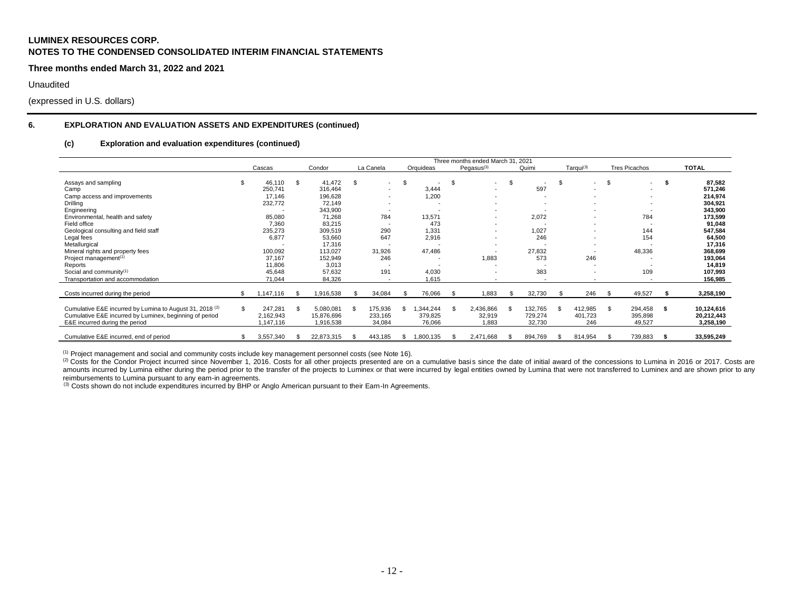**Three months ended March 31, 2022 and 2021**

Unaudited

(expressed in U.S. dollars)

# **6. EXPLORATION AND EVALUATION ASSETS AND EXPENDITURES (continued)**

#### **(c) Exploration and evaluation expenditures (continued)**

|                                                                                                                                                                  |     |                                   |                                            |     |                              |    |                                |      | Three months ended March 31, 2021 |      |                              |      |                           |      |                              |     |                                       |
|------------------------------------------------------------------------------------------------------------------------------------------------------------------|-----|-----------------------------------|--------------------------------------------|-----|------------------------------|----|--------------------------------|------|-----------------------------------|------|------------------------------|------|---------------------------|------|------------------------------|-----|---------------------------------------|
|                                                                                                                                                                  |     | Cascas                            | Condor                                     |     | La Canela                    |    | Orquideas                      |      | Pegasus $(3)$                     |      | Quimi                        |      | Tarqui <sup>(3)</sup>     |      | <b>Tres Picachos</b>         |     | <b>TOTAL</b>                          |
| Assays and sampling                                                                                                                                              |     | 46,110                            | \$<br>41.472                               | -\$ | $\overline{\phantom{a}}$     | \$ | $\overline{\phantom{a}}$       | - \$ | $\overline{\phantom{a}}$          | - \$ | $\overline{\phantom{a}}$     | - \$ | $\overline{\phantom{a}}$  | - \$ | $\overline{\phantom{a}}$     | -35 | 87,582                                |
| Camp                                                                                                                                                             |     | 250,741                           | 316,464                                    |     | $\overline{\phantom{a}}$     |    | 3,444                          |      | $\overline{\phantom{a}}$          |      | 597                          |      | $\overline{\phantom{a}}$  |      |                              |     | 571,246                               |
| Camp access and improvements                                                                                                                                     |     | 17,146                            | 196,628                                    |     |                              |    | 1,200                          |      |                                   |      |                              |      |                           |      |                              |     | 214,974                               |
| Drilling                                                                                                                                                         |     | 232,772                           | 72,149                                     |     |                              |    |                                |      |                                   |      |                              |      |                           |      |                              |     | 304,921                               |
| Engineering                                                                                                                                                      |     |                                   | 343,900                                    |     |                              |    |                                |      |                                   |      |                              |      |                           |      |                              |     | 343,900                               |
| Environmental, health and safety                                                                                                                                 |     | 85,080                            | 71,268                                     |     | 784                          |    | 13,571                         |      | $\overline{\phantom{a}}$          |      | 2,072                        |      |                           |      | 784                          |     | 173,599                               |
| Field office                                                                                                                                                     |     | 7,360                             | 83,215                                     |     | $\overline{\phantom{a}}$     |    | 473                            |      | $\overline{\phantom{a}}$          |      |                              |      | $\overline{\phantom{a}}$  |      |                              |     | 91,048                                |
| Geological consulting and field staff                                                                                                                            |     | 235,273                           | 309,519                                    |     | 290                          |    | 1,331                          |      | $\overline{\phantom{a}}$          |      | 1,027                        |      | $\overline{\phantom{a}}$  |      | 144                          |     | 547,584                               |
| Legal fees                                                                                                                                                       |     | 6,877                             | 53,660                                     |     | 647                          |    | 2,916                          |      |                                   |      | 246                          |      | $\overline{\phantom{a}}$  |      | 154                          |     | 64,500                                |
| Metallurgical                                                                                                                                                    |     |                                   | 17,316                                     |     |                              |    |                                |      | $\overline{\phantom{a}}$          |      |                              |      |                           |      |                              |     | 17,316                                |
| Mineral rights and property fees                                                                                                                                 |     | 100,092                           | 113,027                                    |     | 31,926                       |    | 47,486                         |      | $\overline{\phantom{a}}$          |      | 27,832                       |      | $\overline{\phantom{a}}$  |      | 48,336                       |     | 368,699                               |
| Project management <sup>(1)</sup>                                                                                                                                |     | 37,167                            | 152,949                                    |     | 246                          |    |                                |      | 1,883                             |      | 573                          |      | 246                       |      |                              |     | 193,064                               |
| Reports                                                                                                                                                          |     | 11,806                            | 3,013                                      |     | . .                          |    |                                |      | $\overline{\phantom{a}}$          |      |                              |      | $\overline{\phantom{a}}$  |      |                              |     | 14,819                                |
| Social and community <sup>(1)</sup>                                                                                                                              |     | 45,648                            | 57,632                                     |     | 191                          |    | 4.030                          |      | $\overline{\phantom{a}}$          |      | 383                          |      |                           |      | 109                          |     | 107,993                               |
| Transportation and accommodation                                                                                                                                 |     | 71,044                            | 84,326                                     |     |                              |    | 1,615                          |      |                                   |      |                              |      |                           |      |                              |     | 156,985                               |
|                                                                                                                                                                  |     |                                   |                                            |     |                              |    |                                |      |                                   |      |                              |      |                           |      |                              |     |                                       |
| Costs incurred during the period                                                                                                                                 |     | 1,147,116                         | 1,916,538                                  |     | 34,084                       |    | 76,066                         | - \$ | 1,883                             | .ኖ   | 32,730                       | . ድ  | 246                       | - \$ | 49,527                       |     | 3,258,190                             |
| Cumulative E&E incurred by Lumina to August 31, 2018 <sup>(2)</sup><br>Cumulative E&E incurred by Luminex, beginning of period<br>E&E incurred during the period | \$. | 247,281<br>2,162,943<br>1,147,116 | \$<br>5,080,081<br>15,876,696<br>1,916,538 |     | 175,936<br>233,165<br>34,084 | S  | 1,344,244<br>379,825<br>76,066 |      | 2,436,866<br>32,919<br>1,883      | S    | 132,765<br>729,274<br>32,730 | - \$ | 412,985<br>401,723<br>246 | \$   | 294,458<br>395,898<br>49,527 | \$  | 10,124,616<br>20,212,443<br>3,258,190 |
| Cumulative E&E incurred, end of period                                                                                                                           |     | 3,557,340                         | 22,873,315                                 |     | 443,185                      | S. | 1,800,135                      |      | 2,471,668                         |      | 894,769                      | \$.  | 814,954                   | -S   | 739,883                      |     | 33,595,249                            |

(1) Project management and social and community costs include key management personnel costs (see Note 16).

(2) Costs for the Condor Project incurred since November 1, 2016. Costs for all other projects presented are on a cumulative basis since the date of initial award of the concessions to Lumina in 2016 or 2017. Costs are (2 amounts incurred by Lumina either during the period prior to the transfer of the projects to Luminex or that were incurred by legal entities owned by Lumina that were not transferred to Luminex and are shown prior to any reimbursements to Lumina pursuant to any earn-in agreements.

(3) Costs shown do not include expenditures incurred by BHP or Anglo American pursuant to their Earn-In Agreements.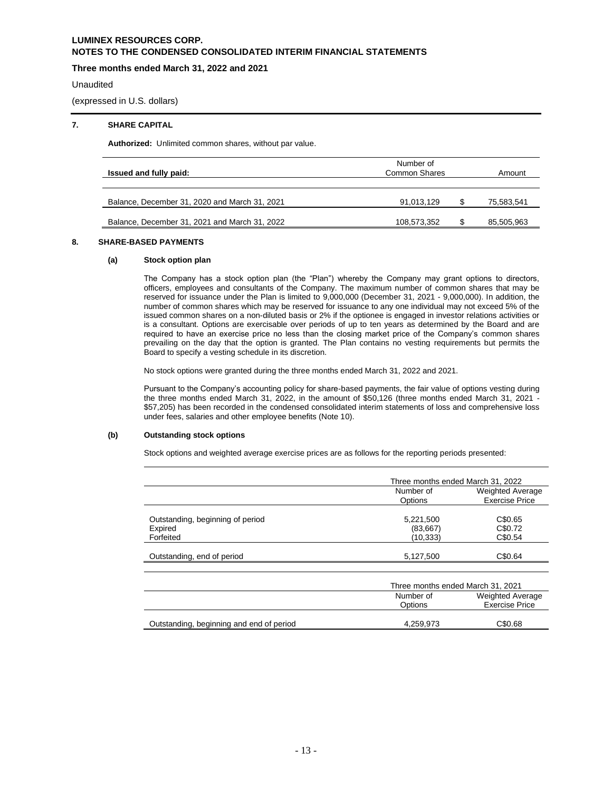# **Three months ended March 31, 2022 and 2021**

Unaudited

(expressed in U.S. dollars)

## **7. SHARE CAPITAL**

**Authorized:** Unlimited common shares, without par value.

| Issued and fully paid:                        | Number of<br>Common Shares |  |            |  |  |  |  |  |
|-----------------------------------------------|----------------------------|--|------------|--|--|--|--|--|
|                                               |                            |  |            |  |  |  |  |  |
| Balance, December 31, 2020 and March 31, 2021 | 91,013,129                 |  | 75,583,541 |  |  |  |  |  |
| Balance, December 31, 2021 and March 31, 2022 | 108,573,352                |  | 85,505,963 |  |  |  |  |  |

# **8. SHARE-BASED PAYMENTS**

## **(a) Stock option plan**

The Company has a stock option plan (the "Plan") whereby the Company may grant options to directors, officers, employees and consultants of the Company. The maximum number of common shares that may be reserved for issuance under the Plan is limited to 9,000,000 (December 31, 2021 - 9,000,000). In addition, the number of common shares which may be reserved for issuance to any one individual may not exceed 5% of the issued common shares on a non-diluted basis or 2% if the optionee is engaged in investor relations activities or is a consultant. Options are exercisable over periods of up to ten years as determined by the Board and are required to have an exercise price no less than the closing market price of the Company's common shares prevailing on the day that the option is granted. The Plan contains no vesting requirements but permits the Board to specify a vesting schedule in its discretion.

No stock options were granted during the three months ended March 31, 2022 and 2021.

Pursuant to the Company's accounting policy for share-based payments, the fair value of options vesting during the three months ended March 31, 2022, in the amount of \$50,126 (three months ended March 31, 2021 - \$57,205) has been recorded in the condensed consolidated interim statements of loss and comprehensive loss under fees, salaries and other employee benefits (Note 10).

## **(b) Outstanding stock options**

Stock options and weighted average exercise prices are as follows for the reporting periods presented:

|                                             | Three months ended March 31, 2022 |                                                  |
|---------------------------------------------|-----------------------------------|--------------------------------------------------|
|                                             | Number of<br>Options              | Weighted Average<br><b>Exercise Price</b>        |
| Outstanding, beginning of period<br>Expired | 5,221,500<br>(83, 667)            | C\$0.65<br>C\$0.72                               |
| Forfeited                                   | (10,333)                          | C\$0.54                                          |
| Outstanding, end of period                  | 5,127,500                         | C\$0.64                                          |
|                                             | Three months ended March 31, 2021 |                                                  |
|                                             | Number of<br>Options              | <b>Weighted Average</b><br><b>Exercise Price</b> |
| Outstanding, beginning and end of period    | 4.259.973                         | C\$0.68                                          |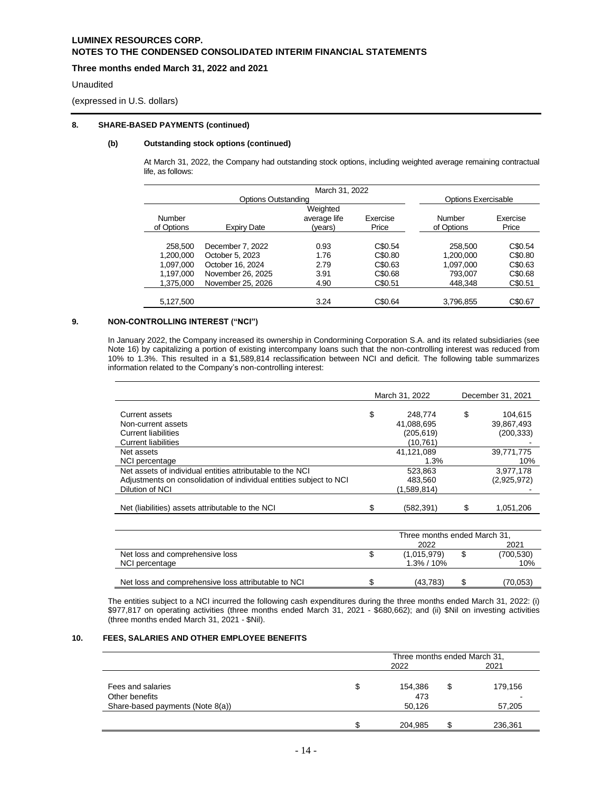# **Three months ended March 31, 2022 and 2021**

### Unaudited

(expressed in U.S. dollars)

# **8. SHARE-BASED PAYMENTS (continued)**

# **(b) Outstanding stock options (continued)**

At March 31, 2022, the Company had outstanding stock options, including weighted average remaining contractual life, as follows:

|                     |                   | March 31, 2022 |          |                            |          |
|---------------------|-------------------|----------------|----------|----------------------------|----------|
| Options Outstanding |                   |                |          | <b>Options Exercisable</b> |          |
|                     |                   | Weighted       |          |                            |          |
| Number              |                   | average life   | Exercise | Number                     | Exercise |
| of Options          | Expiry Date       | (years)        | Price    | of Options                 | Price    |
|                     |                   |                |          |                            |          |
| 258,500             | December 7, 2022  | 0.93           | C\$0.54  | 258,500                    | C\$0.54  |
| 1,200,000           | October 5, 2023   | 1.76           | C\$0.80  | 1,200,000                  | C\$0.80  |
| 1,097,000           | October 16, 2024  | 2.79           | C\$0.63  | 1.097.000                  | C\$0.63  |
| 1,197,000           | November 26, 2025 | 3.91           | C\$0.68  | 793,007                    | C\$0.68  |
| 1,375,000           | November 25, 2026 | 4.90           | C\$0.51  | 448.348                    | C\$0.51  |
|                     |                   |                |          |                            |          |
| 5.127.500           |                   | 3.24           | C\$0.64  | 3.796.855                  | C\$0.67  |

## **9. NON-CONTROLLING INTEREST ("NCI")**

In January 2022, the Company increased its ownership in Condormining Corporation S.A. and its related subsidiaries (see Note 16) by capitalizing a portion of existing intercompany loans such that the non-controlling interest was reduced from 10% to 1.3%. This resulted in a \$1,589,814 reclassification between NCI and deficit. The following table summarizes information related to the Company's non-controlling interest:

|                                                                    | March 31, 2022 |             | December 31, 2021 |             |
|--------------------------------------------------------------------|----------------|-------------|-------------------|-------------|
|                                                                    |                |             |                   |             |
| Current assets                                                     | \$             | 248.774     | \$                | 104.615     |
| Non-current assets                                                 |                | 41,088,695  |                   | 39,867,493  |
| <b>Current liabilities</b>                                         |                | (205, 619)  |                   | (200,333)   |
| <b>Current liabilities</b>                                         | (10.761)       |             |                   |             |
| Net assets                                                         |                | 41,121,089  |                   | 39,771,775  |
| NCI percentage                                                     |                | 1.3%        |                   | 10%         |
| Net assets of individual entities attributable to the NCI          |                | 523.863     |                   | 3.977.178   |
| Adjustments on consolidation of individual entities subject to NCI |                | 483,560     |                   | (2,925,972) |
| Dilution of NCI                                                    |                | (1,589,814) |                   |             |
|                                                                    |                |             |                   |             |
| Net (liabilities) assets attributable to the NCI                   | \$             | (582,391)   |                   | 1,051,206   |
|                                                                    |                |             |                   |             |

|                                                     | Three months ended March 31, |               |  |            |
|-----------------------------------------------------|------------------------------|---------------|--|------------|
|                                                     | 2022                         |               |  | 2021       |
| Net loss and comprehensive loss                     |                              | (1,015,979)   |  | (700, 530) |
| NCI percentage                                      |                              | $1.3\%$ / 10% |  | 10%        |
|                                                     |                              |               |  |            |
| Net loss and comprehensive loss attributable to NCI |                              | (43.783)      |  | (70.053)   |

The entities subject to a NCI incurred the following cash expenditures during the three months ended March 31, 2022: (i) \$977,817 on operating activities (three months ended March 31, 2021 - \$680,662); and (ii) \$Nil on investing activities (three months ended March 31, 2021 - \$Nil).

## **10. FEES, SALARIES AND OTHER EMPLOYEE BENEFITS**

|                                  |   | Three months ended March 31, |    |         |  |
|----------------------------------|---|------------------------------|----|---------|--|
|                                  |   | 2022                         |    | 2021    |  |
|                                  |   |                              |    |         |  |
| Fees and salaries                | S | 154,386                      | \$ | 179,156 |  |
| Other benefits                   |   | 473                          |    |         |  |
| Share-based payments (Note 8(a)) |   | 50,126                       |    | 57,205  |  |
|                                  |   |                              |    |         |  |
|                                  |   | 204,985                      |    | 236,361 |  |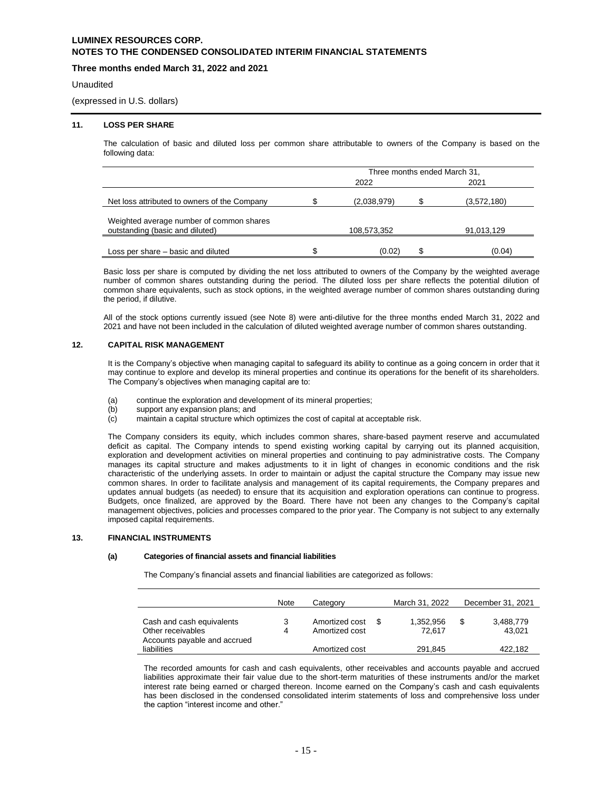# **Three months ended March 31, 2022 and 2021**

### Unaudited

(expressed in U.S. dollars)

### **11. LOSS PER SHARE**

The calculation of basic and diluted loss per common share attributable to owners of the Company is based on the following data:

|                                                                             | Three months ended March 31, |  |             |  |  |
|-----------------------------------------------------------------------------|------------------------------|--|-------------|--|--|
|                                                                             | 2022                         |  | 2021        |  |  |
| Net loss attributed to owners of the Company                                | (2,038,979)                  |  | (3,572,180) |  |  |
| Weighted average number of common shares<br>outstanding (basic and diluted) | 108,573,352                  |  | 91,013,129  |  |  |
| Loss per share – basic and diluted                                          | \$<br>(0.02)                 |  | (0.04)      |  |  |

Basic loss per share is computed by dividing the net loss attributed to owners of the Company by the weighted average number of common shares outstanding during the period. The diluted loss per share reflects the potential dilution of common share equivalents, such as stock options, in the weighted average number of common shares outstanding during the period, if dilutive.

All of the stock options currently issued (see Note 8) were anti-dilutive for the three months ended March 31, 2022 and 2021 and have not been included in the calculation of diluted weighted average number of common shares outstanding.

### **12. CAPITAL RISK MANAGEMENT**

It is the Company's objective when managing capital to safeguard its ability to continue as a going concern in order that it may continue to explore and develop its mineral properties and continue its operations for the benefit of its shareholders. The Company's objectives when managing capital are to:

- (a) continue the exploration and development of its mineral properties;<br>(b) support any expansion plans: and
- support any expansion plans; and
- (c) maintain a capital structure which optimizes the cost of capital at acceptable risk.

The Company considers its equity, which includes common shares, share-based payment reserve and accumulated deficit as capital. The Company intends to spend existing working capital by carrying out its planned acquisition, exploration and development activities on mineral properties and continuing to pay administrative costs. The Company manages its capital structure and makes adjustments to it in light of changes in economic conditions and the risk characteristic of the underlying assets. In order to maintain or adjust the capital structure the Company may issue new common shares. In order to facilitate analysis and management of its capital requirements, the Company prepares and updates annual budgets (as needed) to ensure that its acquisition and exploration operations can continue to progress. Budgets, once finalized, are approved by the Board. There have not been any changes to the Company's capital management objectives, policies and processes compared to the prior year. The Company is not subject to any externally imposed capital requirements.

### **13. FINANCIAL INSTRUMENTS**

## **(a) Categories of financial assets and financial liabilities**

The Company's financial assets and financial liabilities are categorized as follows:

|                                                | <b>Note</b> | Category                         | March 31, 2022      | December 31, 2021         |
|------------------------------------------------|-------------|----------------------------------|---------------------|---------------------------|
| Cash and cash equivalents<br>Other receivables | 3<br>4      | Amortized cost<br>Amortized cost | 1.352.956<br>72.617 | \$<br>3,488,779<br>43.021 |
| Accounts payable and accrued<br>liabilities    |             | Amortized cost                   | 291.845             | 422.182                   |

The recorded amounts for cash and cash equivalents, other receivables and accounts payable and accrued liabilities approximate their fair value due to the short-term maturities of these instruments and/or the market interest rate being earned or charged thereon. Income earned on the Company's cash and cash equivalents has been disclosed in the condensed consolidated interim statements of loss and comprehensive loss under the caption "interest income and other."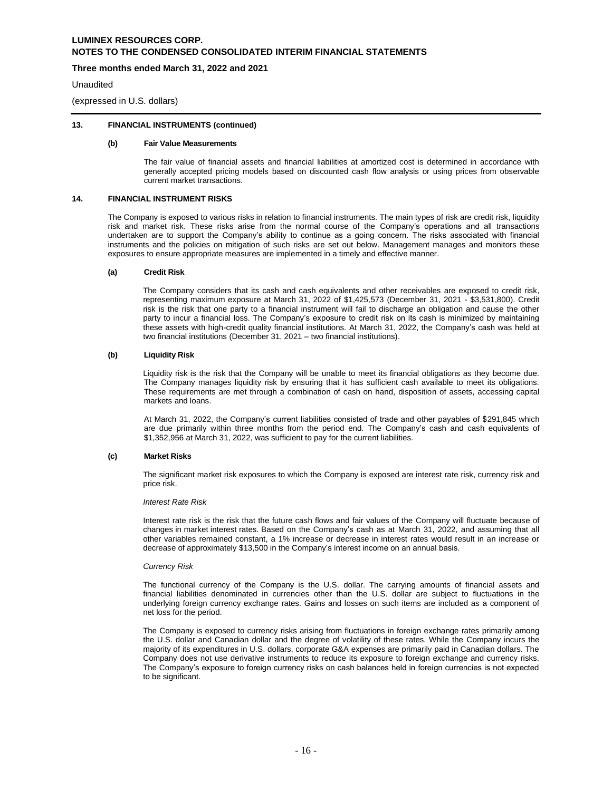# **Three months ended March 31, 2022 and 2021**

**Unaudited** 

(expressed in U.S. dollars)

# **13. FINANCIAL INSTRUMENTS (continued)**

### **(b) Fair Value Measurements**

The fair value of financial assets and financial liabilities at amortized cost is determined in accordance with generally accepted pricing models based on discounted cash flow analysis or using prices from observable current market transactions.

### **14. FINANCIAL INSTRUMENT RISKS**

The Company is exposed to various risks in relation to financial instruments. The main types of risk are credit risk, liquidity risk and market risk. These risks arise from the normal course of the Company's operations and all transactions undertaken are to support the Company's ability to continue as a going concern. The risks associated with financial instruments and the policies on mitigation of such risks are set out below. Management manages and monitors these exposures to ensure appropriate measures are implemented in a timely and effective manner.

#### **(a) Credit Risk**

The Company considers that its cash and cash equivalents and other receivables are exposed to credit risk, representing maximum exposure at March 31, 2022 of \$1,425,573 (December 31, 2021 - \$3,531,800). Credit risk is the risk that one party to a financial instrument will fail to discharge an obligation and cause the other party to incur a financial loss. The Company's exposure to credit risk on its cash is minimized by maintaining these assets with high-credit quality financial institutions. At March 31, 2022, the Company's cash was held at two financial institutions (December 31, 2021 – two financial institutions).

#### **(b) Liquidity Risk**

Liquidity risk is the risk that the Company will be unable to meet its financial obligations as they become due. The Company manages liquidity risk by ensuring that it has sufficient cash available to meet its obligations. These requirements are met through a combination of cash on hand, disposition of assets, accessing capital markets and loans.

At March 31, 2022, the Company's current liabilities consisted of trade and other payables of \$291,845 which are due primarily within three months from the period end. The Company's cash and cash equivalents of \$1,352,956 at March 31, 2022, was sufficient to pay for the current liabilities.

#### **(c) Market Risks**

The significant market risk exposures to which the Company is exposed are interest rate risk, currency risk and price risk.

#### *Interest Rate Risk*

Interest rate risk is the risk that the future cash flows and fair values of the Company will fluctuate because of changes in market interest rates. Based on the Company's cash as at March 31, 2022, and assuming that all other variables remained constant, a 1% increase or decrease in interest rates would result in an increase or decrease of approximately \$13,500 in the Company's interest income on an annual basis.

#### *Currency Risk*

The functional currency of the Company is the U.S. dollar. The carrying amounts of financial assets and financial liabilities denominated in currencies other than the U.S. dollar are subject to fluctuations in the underlying foreign currency exchange rates. Gains and losses on such items are included as a component of net loss for the period.

The Company is exposed to currency risks arising from fluctuations in foreign exchange rates primarily among the U.S. dollar and Canadian dollar and the degree of volatility of these rates. While the Company incurs the majority of its expenditures in U.S. dollars, corporate G&A expenses are primarily paid in Canadian dollars. The Company does not use derivative instruments to reduce its exposure to foreign exchange and currency risks. The Company's exposure to foreign currency risks on cash balances held in foreign currencies is not expected to be significant.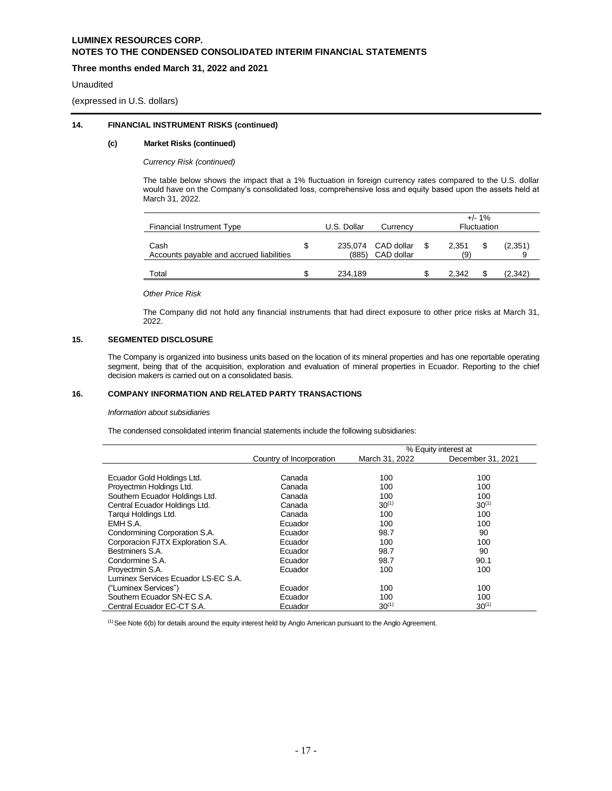# **Three months ended March 31, 2022 and 2021**

### Unaudited

(expressed in U.S. dollars)

## **14. FINANCIAL INSTRUMENT RISKS (continued)**

## **(c) Market Risks (continued)**

*Currency Risk (continued)*

The table below shows the impact that a 1% fluctuation in foreign currency rates compared to the U.S. dollar would have on the Company's consolidated loss, comprehensive loss and equity based upon the assets held at March 31, 2022.

| Financial Instrument Type                        | U.S. Dollar<br>Currency |         |                                  |              | $+/- 1\%$<br><b>Fluctuation</b> |         |
|--------------------------------------------------|-------------------------|---------|----------------------------------|--------------|---------------------------------|---------|
| Cash<br>Accounts payable and accrued liabilities | S                       | (885)   | 235,074 CAD dollar<br>CAD dollar | 2.351<br>(9) |                                 | (2,351) |
| Total                                            |                         | 234.189 |                                  | 2.342        |                                 | (2,342) |

*Other Price Risk*

The Company did not hold any financial instruments that had direct exposure to other price risks at March 31, 2022.

## **15. SEGMENTED DISCLOSURE**

The Company is organized into business units based on the location of its mineral properties and has one reportable operating segment, being that of the acquisition, exploration and evaluation of mineral properties in Ecuador. Reporting to the chief decision makers is carried out on a consolidated basis.

### **16. COMPANY INFORMATION AND RELATED PARTY TRANSACTIONS**

# *Information about subsidiaries*

The condensed consolidated interim financial statements include the following subsidiaries:

|                                     |                          | % Equity interest at |                   |  |  |
|-------------------------------------|--------------------------|----------------------|-------------------|--|--|
|                                     | Country of Incorporation | March 31, 2022       | December 31, 2021 |  |  |
|                                     |                          |                      |                   |  |  |
| Ecuador Gold Holdings Ltd.          | Canada                   | 100                  | 100               |  |  |
| Proyectmin Holdings Ltd.            | Canada                   | 100                  | 100               |  |  |
| Southern Ecuador Holdings Ltd.      | Canada                   | 100                  | 100               |  |  |
| Central Ecuador Holdings Ltd.       | Canada                   | $30^{(1)}$           | $30^{(1)}$        |  |  |
| Tarqui Holdings Ltd.                | Canada                   | 100                  | 100               |  |  |
| EMH S.A.                            | Ecuador                  | 100                  | 100               |  |  |
| Condormining Corporation S.A.       | Ecuador                  | 98.7                 | 90                |  |  |
| Corporacion FJTX Exploration S.A.   | Ecuador                  | 100                  | 100               |  |  |
| Bestminers S.A.                     | Ecuador                  | 98.7                 | 90                |  |  |
| Condormine S.A.                     | Ecuador                  | 98.7                 | 90.1              |  |  |
| Provectmin S.A.                     | Ecuador                  | 100                  | 100               |  |  |
| Luminex Services Ecuador LS-EC S.A. |                          |                      |                   |  |  |
| ("Luminex Services")                | Ecuador                  | 100                  | 100               |  |  |
| Southern Ecuador SN-EC S.A.         | Ecuador                  | 100                  | 100               |  |  |
| Central Ecuador EC-CT S.A.          | Ecuador                  | $30^{(1)}$           | $30^{(1)}$        |  |  |

 $<sup>(1)</sup>$  See Note 6(b) for details around the equity interest held by Anglo American pursuant to the Anglo Agreement.</sup>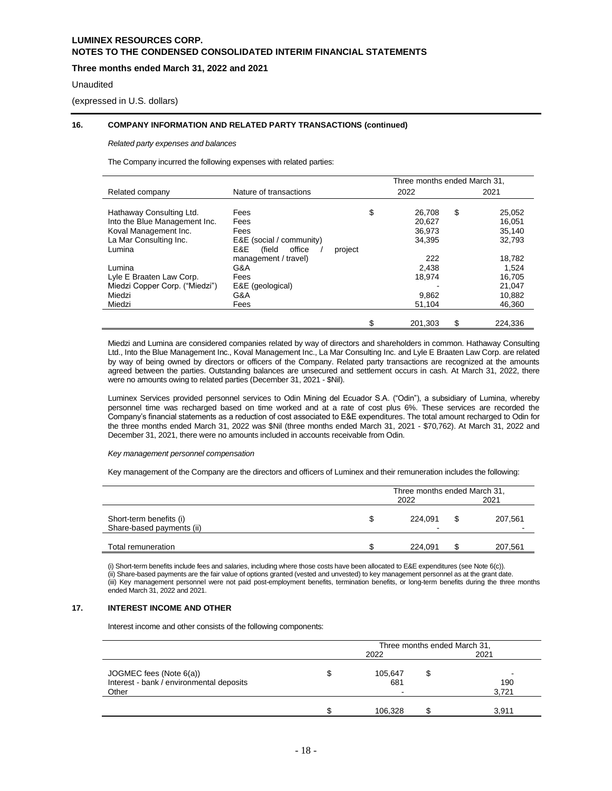# **Three months ended March 31, 2022 and 2021**

### Unaudited

(expressed in U.S. dollars)

## **16. COMPANY INFORMATION AND RELATED PARTY TRANSACTIONS (continued)**

#### *Related party expenses and balances*

The Company incurred the following expenses with related parties:

|                                |                          |         | Three months ended March 31. |    |         |
|--------------------------------|--------------------------|---------|------------------------------|----|---------|
| Related company                | Nature of transactions   |         | 2022                         |    | 2021    |
|                                |                          |         |                              |    |         |
| Hathaway Consulting Ltd.       | Fees                     | \$      | 26,708                       | \$ | 25,052  |
| Into the Blue Management Inc.  | Fees                     |         | 20.627                       |    | 16.051  |
| Koval Management Inc.          | Fees                     |         | 36,973                       |    | 35,140  |
| La Mar Consulting Inc.         | E&E (social / community) |         | 34,395                       |    | 32,793  |
| Lumina                         | E&E<br>office<br>(field  | project |                              |    |         |
|                                | management / travel)     |         | 222                          |    | 18,782  |
| Lumina                         | G&A                      |         | 2,438                        |    | 1.524   |
| Lyle E Braaten Law Corp.       | Fees                     |         | 18,974                       |    | 16.705  |
| Miedzi Copper Corp. ("Miedzi") | E&E (geological)         |         |                              |    | 21,047  |
| Miedzi                         | G&A                      |         | 9,862                        |    | 10,882  |
| Miedzi                         | Fees                     |         | 51,104                       |    | 46,360  |
|                                |                          |         |                              |    |         |
|                                |                          | \$      | 201.303                      | \$ | 224.336 |

Miedzi and Lumina are considered companies related by way of directors and shareholders in common. Hathaway Consulting Ltd., Into the Blue Management Inc., Koval Management Inc., La Mar Consulting Inc. and Lyle E Braaten Law Corp. are related by way of being owned by directors or officers of the Company. Related party transactions are recognized at the amounts agreed between the parties. Outstanding balances are unsecured and settlement occurs in cash. At March 31, 2022, there were no amounts owing to related parties (December 31, 2021 - \$Nil).

Luminex Services provided personnel services to Odin Mining del Ecuador S.A. ("Odin"), a subsidiary of Lumina, whereby personnel time was recharged based on time worked and at a rate of cost plus 6%. These services are recorded the Company's financial statements as a reduction of cost associated to E&E expenditures. The total amount recharged to Odin for the three months ended March 31, 2022 was \$Nil (three months ended March 31, 2021 - \$70,762). At March 31, 2022 and December 31, 2021, there were no amounts included in accounts receivable from Odin.

#### *Key management personnel compensation*

Key management of the Company are the directors and officers of Luminex and their remuneration includes the following:

|                                                      |   | Three months ended March 31, |  |         |  |
|------------------------------------------------------|---|------------------------------|--|---------|--|
|                                                      |   | 2021<br>2022                 |  |         |  |
| Short-term benefits (i)<br>Share-based payments (ii) | S | 224.091                      |  | 207,561 |  |
| Total remuneration                                   |   | 224.091                      |  | 207,561 |  |

(i) Short-term benefits include fees and salaries, including where those costs have been allocated to E&E expenditures (see Note 6(c)). (ii) Share-based payments are the fair value of options granted (vested and unvested) to key management personnel as at the grant date. (iii) Key management personnel were not paid post-employment benefits, termination benefits, or long-term benefits during the three months ended March 31, 2022 and 2021.

# **17. INTEREST INCOME AND OTHER**

Interest income and other consists of the following components:

|                                          | Three months ended March 31, |         |   |       |  |  |
|------------------------------------------|------------------------------|---------|---|-------|--|--|
|                                          | 2022                         |         |   | 2021  |  |  |
| JOGMEC fees (Note $6(a)$ )               | Ъ                            | 105,647 | S |       |  |  |
| Interest - bank / environmental deposits |                              | 681     |   | 190   |  |  |
| Other                                    |                              |         |   | 3,721 |  |  |
|                                          |                              |         |   |       |  |  |
|                                          |                              | 106.328 |   | 3,911 |  |  |